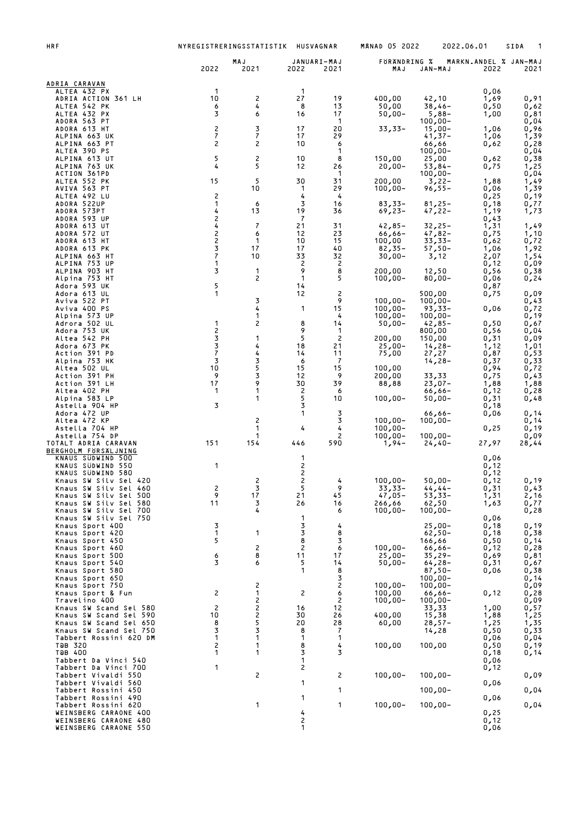| <b>HRF</b>                                       | NYREGISTRERINGSSTATISTIK              |                                  | HUSVAGNAR                             |                       | <b>MANAD 05 2022</b>     |                          | 2022.06.01                    | 1<br>SIDA     |
|--------------------------------------------------|---------------------------------------|----------------------------------|---------------------------------------|-----------------------|--------------------------|--------------------------|-------------------------------|---------------|
|                                                  | 2022                                  | MAJ<br>2021                      | 2022                                  | JANUARI-MAJ<br>2021   | FORANDRING %<br>MAJ      | JAN-MAJ                  | MARKN.ANDEL % JAN-MAJ<br>2022 | 2021          |
|                                                  |                                       |                                  |                                       |                       |                          |                          |                               |               |
| ADRIA CARAVAN<br>ALTEA 432 PX                    | -1                                    |                                  | $\mathbf 1$                           |                       |                          |                          | 0,06                          |               |
| ADRIA ACTION 361 LH<br>ALTEA 542 PK              | 10<br>6                               | 2<br>4                           | 27<br>8                               | 19<br>13              | 400,00<br>50,00          | 42,10<br>$38,46-$        | 1,69<br>0,50                  | 0,91<br>0,62  |
| ALTEA 432 PX                                     | 3                                     | 6                                | 16                                    | 17                    | $50,00 -$                | $5,88-$                  | 1,00                          | 0,81          |
| ADORA 563 PT<br>ADORA 613 HT                     | $\overline{c}$                        | 3                                | 17                                    | $\mathbf 1$<br>20     | $33,33-$                 | $100,00 -$<br>$15,00 -$  | 1,06                          | 0,04<br>0,96  |
| ALPINA 663 UK                                    | $\overline{7}$<br>$\overline{c}$      | $\overline{7}$<br>$\overline{c}$ | 17<br>10                              | 29<br>6               |                          | 41,37-                   | 1,06                          | 1,39          |
| ALPINA 663 PT<br>ALTEA 390 PS                    |                                       |                                  |                                       | 1                     |                          | 66,66<br>$100,00 -$      | 0,62                          | 0,28<br>0,04  |
| ALPINA 613 UT<br>ALPINA 763 UK                   | 5<br>4                                | 2<br>5                           | 10<br>12                              | 8<br>26               | 150,00<br>$20,00 -$      | 25,00<br>53,84-          | 0,62<br>0,75                  | 0,38<br>1,25  |
| ACTION 361PD                                     |                                       |                                  |                                       | $\mathbf 1$           |                          | $100,00 -$               |                               | 0,04          |
| ALTEA 552 PK<br>AVIVA 563 PT                     | 15                                    | 5<br>10                          | 30<br>$\mathbf{1}$                    | 31<br>29              | 200,00<br>$100,00 -$     | $3,22-$<br>$96,55 -$     | 1,88<br>0,06                  | 1,49<br>1,39  |
| ALTEA 492 LU<br>ADORA 522UP                      | $\overline{c}$<br>1                   | 6                                | 4<br>3                                | 4<br>16               | $83,33-$                 | $81,25 -$                | 0,25                          | 0,19          |
| ADORA 573PT                                      | 4                                     | 13                               | 19                                    | 36                    | $69,23-$                 | $47,22-$                 | 0,18<br>1,19                  | 0,77<br>1,73  |
| ADORA 593 UP<br>ADORA 613 UT                     | $\begin{array}{c} 2 \\ 4 \end{array}$ | 7                                | $\overline{7}$<br>21                  | 31                    | $42,85 -$                | $32,25 -$                | 0,43<br>1,31                  | 1,49          |
| ADORA 572 UT                                     | 2                                     | 6                                | 12                                    | 23                    | $66,66 -$                | $47,82-$                 | 0,75                          | 1,10          |
| ADORA 613 HT<br>ADORA 613 PK                     | $\frac{2}{3}$                         | 1<br>17                          | 10<br>17                              | 15<br>40              | 100,00<br>$82,35-$       | $33,33-$<br>$57,50-$     | 0,62<br>1,06                  | 0,72<br>1,92  |
| ALPINA 663 HT<br>ALPINA 753 UP                   | $\overline{7}$<br>1                   | 10                               | 33<br>2                               | 32<br>2               | $30,00 -$                | 3,12                     | 2,07<br>0,12                  | 1,54          |
| ALPINA 903 HT                                    | 3                                     | 1                                | 9                                     | 8                     | 200,00                   | 12,50                    | 0,56                          | 0,09<br>0,38  |
| Alpina 753 HT<br>Adora 593 UK                    | 5                                     | 2                                | 1<br>14                               | 5                     | $100,00 -$               | $80,00 -$                | 0,06<br>0,87                  | 0,24          |
| Adora 613 UL                                     | 1                                     |                                  | 12                                    | $\overline{c}$        |                          | 500,00                   | 0,75                          | 0,09          |
| Aviva 522 PT<br>Aviva 400 PS                     |                                       | 3<br>4                           | 1                                     | 9<br>15               | $100,00 -$<br>$100,00 -$ | $100,00 -$<br>$93,33-$   | 0,06                          | 0,43<br>0,72  |
| Alpina 573 UP<br>Adrora 502 UL                   | 1                                     | 1<br>2                           | 8                                     | 4<br>14               | $100,00 -$               | $100,00 -$<br>$42,85-$   | 0,50                          | 0,19          |
| Adora 753 UK                                     | 2                                     |                                  | 9                                     | $\mathbf 1$           | $50,00 -$                | 800,00                   | 0,56                          | 0,67<br>0,04  |
| Altea 542 PH<br>Adora 673 PK                     | 3<br>3                                | 1<br>4                           | 5<br>18                               | $\overline{c}$<br>21  | 200,00<br>$25,00-$       | 150,00<br>$14,28-$       | 0,31<br>1,12                  | 0,09<br>1,01  |
| Action 391 PD                                    | $\overline{7}$                        | 4                                | 14                                    | 11                    | 75,00                    | 27,27                    | 0,87                          | 0,53          |
| Alpina 753 HK<br>Altea 502 UL                    | 3<br>10                               | 3<br>5                           | 6<br>15                               | -7<br>15              | 100,00                   | $14,28-$                 | 0,37<br>0,94                  | 0,33<br>0,72  |
| Action 391 PH<br>Action 391 LH                   | 9<br>17                               | 3<br>9                           | 12<br>30                              | 9<br>39               | 200,00<br>88,88          | 33,33<br>$23,07-$        | 0,75<br>1,88                  | 0,43          |
| Altea 402 PH                                     | 1                                     | 1                                | 2                                     | 6                     |                          | $66,66 -$                | 0,12                          | 1,88<br>0,28  |
| Alpina 583 LP<br>Astella 904 HP                  | 3                                     | 1                                | 5<br>3                                | 10                    | $100,00 -$               | $50,00 -$                | 0,31<br>0,18                  | 0,48          |
| Adora 472 UP                                     |                                       |                                  | 1                                     | 3                     |                          | $66,66-$                 | 0,06                          | 0,14          |
| Altea 472 KP<br>Astella 704 HP                   |                                       | 2<br>1                           | 4                                     | 3<br>4                | $100,00 -$<br>$100,00 -$ | $100,00 -$               | 0,25                          | 0,14<br>0,19  |
| Astella 754 DP<br>TOTALT ADRIA CARAVAN           | 151                                   | 1<br>154                         | 446                                   | $\overline{c}$<br>590 | $100,00 -$<br>$1,94-$    | $100,00 -$<br>$24,40-$   | 27,97                         | 0,09<br>28,44 |
| BERGHOLM FORSALJNING                             |                                       |                                  |                                       |                       |                          |                          |                               |               |
| KNAUS SUDWIND 500<br>KNAUS SUDWIND 550           | 1                                     |                                  | 1<br>2                                |                       |                          |                          | 0,06<br>0,12                  |               |
| KNAUS SUDWIND 580<br>Knaus SW Silv Sel 420       |                                       | 2                                | 2<br>$\overline{c}$                   | 4                     | $100,00 -$               |                          | 0,12                          |               |
| Knaus SW Silv Sel 460                            | 2                                     | 3                                | 5                                     | 9                     | $33,33-$                 | $50,00 -$<br>$44, 44-$   | 0,12<br>0,31                  | 0,19<br>0,43  |
| Knaus SW Silv Sel 500<br>Knaus SW Silv Sel 580   | 9<br>11                               | 17<br>3                          | 21<br>26                              | 45<br>16              | $47,05 -$<br>266,66      | $53,33-$<br>62,50        | 1,31<br>1,63                  | 2,16<br>0,77  |
| Knaus SW Silv Sel 700                            |                                       | 4                                |                                       | 6                     | $100,00 -$               | $100,00 -$               |                               | 0,28          |
| Knaus SW Silv Sel 750<br>Knaus Sport 400         | 3                                     |                                  | 1<br>3                                | 4                     |                          | $25,00-$                 | 0,06<br>0,18                  | 0,19          |
| Knaus Sport 420<br>Knaus Sport 450               | 1<br>5                                | 1                                | 3<br>8                                | 8<br>3                |                          | $62,50-$<br>166,66       | 0,18<br>0,50                  | 0,38<br>0,14  |
| Knaus Sport 460                                  |                                       | 2                                | 2                                     | 6                     | $100,00 -$               | $66,66 -$                | 0,12                          | 0,28          |
| Knaus Sport 500<br>Knaus Sport 540               | 6<br>3                                | 8<br>6                           | 11<br>5                               | 17<br>14              | $25,00-$<br>$50,00 -$    | $35,29-$<br>$64,28-$     | 0,69<br>0,31                  | 0,81<br>0,67  |
| Knaus Sport 580                                  |                                       |                                  | 1                                     | 8                     |                          | $87,50-$                 | 0,06                          | 0,38          |
| Knaus Sport 650<br>Knaus Sport 750               |                                       | $\overline{\mathbf{c}}$          |                                       | 3<br>$\overline{c}$   | $100,00 -$               | $100,00 -$<br>$100,00 -$ |                               | 0,14<br>0,09  |
| Knaus Sport & Fun<br>Travelino 400               | 2                                     | $\mathbf{1}$<br>$\overline{c}$   | 2                                     | 6<br>$\overline{c}$   | 100,00<br>$100,00 -$     | $66,66-$<br>$100,00 -$   | 0,12                          | 0,28<br>0,09  |
| Knaus SW Scand Sel 580                           | 2                                     | 2                                | 16                                    | 12                    |                          | 33,33                    | 1,00                          | 0,57          |
| Knaus SW Scand Sel 590<br>Knaus SW Scand Sel 650 | 10<br>8                               | 2<br>5                           | 30<br>20                              | 26<br>28              | 400,00<br>60,00          | 15,38<br>$28,57-$        | 1,88<br>1,25                  | 1,25<br>1,35  |
| Knaus SW Scand Sel 750                           | 3<br>1                                | 3<br>1                           | 8<br>1                                | 7                     |                          | 14,28                    | 0,50                          | 0,33          |
| Tabbert Rossini 620 DM<br>TOB 320                | 2                                     | 1                                | 8                                     | 1<br>4                | 100,00                   | 100,00                   | 0,06<br>0,50                  | 0,04<br>0,19  |
| ТӘВ 400<br>Tabbert Da Vinci 540                  | 1                                     | 1                                | 3<br>1                                | 3                     |                          |                          | 0,18<br>0,06                  | 0,14          |
| Tabbert Da Vinci 700                             | 1                                     |                                  | 2                                     |                       |                          |                          | 0,12                          |               |
| Tabbert Vivaldi 550<br>Tabbert Vivaldi 560       |                                       | 2                                | 1                                     | 2                     | $100,00 -$               | $100,00 -$               | 0,06                          | 0,09          |
| Tabbert Rossini 450<br>Tabbert Rossini 490       |                                       |                                  | 1                                     | 1                     |                          | $100,00 -$               | 0,06                          | 0,04          |
| Tabbert Rossini 620                              |                                       | 1                                |                                       | 1                     | $100,00 -$               | $100,00 -$               |                               | 0,04          |
| WEINSBERG CARAONE 400<br>WEINSBERG CARAONE 480   |                                       |                                  | 4                                     |                       |                          |                          | 0,25<br>0,12                  |               |
| WEINSBERG CARAONE 550                            |                                       |                                  | $\begin{array}{c} 2 \\ 1 \end{array}$ |                       |                          |                          | 0,06                          |               |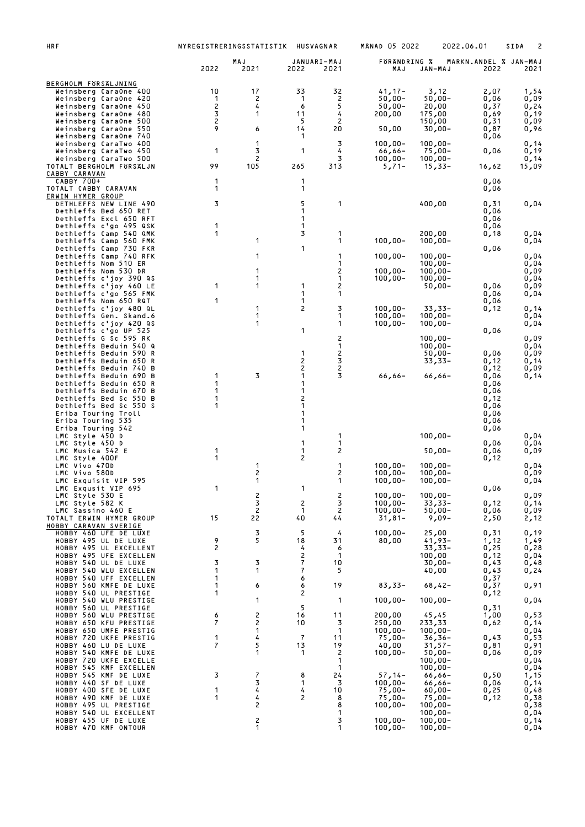| HRF                                                                                                                                                                                                                                                                                                             | NYREGISTRERINGSSTATISTIK                             |                                       |                                                       | <b>HUSVAGNAR</b>                                                              | <b>MANAD 05 2022</b>                                                                      |                                                                                                                       | 2022.06.01                                                                   | 2<br>SIDA                                                            |
|-----------------------------------------------------------------------------------------------------------------------------------------------------------------------------------------------------------------------------------------------------------------------------------------------------------------|------------------------------------------------------|---------------------------------------|-------------------------------------------------------|-------------------------------------------------------------------------------|-------------------------------------------------------------------------------------------|-----------------------------------------------------------------------------------------------------------------------|------------------------------------------------------------------------------|----------------------------------------------------------------------|
|                                                                                                                                                                                                                                                                                                                 | 2022                                                 | MAJ<br>2021                           | 2022                                                  | JANUARI-MAJ<br>2021                                                           | FORANDRING %<br>MAJ                                                                       | JAN-MAJ                                                                                                               | MARKN.ANDEL % JAN-MAJ<br>2022                                                | 2021                                                                 |
| BERGHOLM FORSALJNING<br>Weinsberg CaraOne 400<br>Weinsberg CaraOne 420<br>Weinsberg CaraOne 450<br>Weinsberg CaraOne 480<br>Weinsberg CaraOne 500<br>Weinsberg CaraOne 550<br>Weinsberg CaraOne 740                                                                                                             | 10<br>1<br>2<br>3<br>2<br>9                          | 17<br>2<br>4<br>1<br>6                | 33<br>1<br>6<br>11<br>5<br>14<br>1                    | 32<br>2<br>5<br>4<br>$\overline{c}$<br>20                                     | $41,17-$<br>$50,00 -$<br>$50,00 -$<br>200,00<br>50,00                                     | 3,12<br>50,00-<br>20,00<br>175,00<br>150,00<br>$30,00 -$                                                              | 2,07<br>0,06<br>0,37<br>0,69<br>0,31<br>0,87<br>0,06                         | 1,54<br>0,09<br>0,24<br>0,19<br>0,09<br>0,96                         |
| Weinsberg CaraTwo 400<br>Weinsberg CaraTwo 450<br>Weinsberg CaraTwo 500<br>TOTALT BERGHOLM FÖRSÄLJN<br>CABBY CARAVAN                                                                                                                                                                                            | 1<br>99                                              | 1<br>3<br>2<br>105                    | 1<br>265                                              | 3<br>4<br>3<br>313                                                            | $100,00 -$<br>$66,66 -$<br>$100,00 -$<br>$5,71-$                                          | $100,00 -$<br>$75,00 -$<br>$100,00 -$<br>$15,33-$                                                                     | 0,06<br>16,62                                                                | 0,14<br>0,19<br>0,14<br>15,09                                        |
| CABBY 700+<br>TOTALT CABBY CARAVAN                                                                                                                                                                                                                                                                              | 1<br>1                                               |                                       | 1<br>1                                                |                                                                               |                                                                                           |                                                                                                                       | 0,06<br>0,06                                                                 |                                                                      |
| ERWIN HYMER GROUP<br>DETHLEFFS NEW LINE 490<br>Dethleffs Bed 650 RET<br>Dethleffs Excl 650 RFT                                                                                                                                                                                                                  | 3                                                    |                                       | 5<br>1<br>1                                           | 1                                                                             |                                                                                           | 400,00                                                                                                                | 0,31<br>0,06<br>0,06                                                         | 0,04                                                                 |
| Dethleffs c'go 495 QSK<br>Dethleffs Camp 540 QMK<br>Dethleffs Camp 560 FMK<br>Dethleffs Camp 730 FKR                                                                                                                                                                                                            | 1<br>1                                               | 1                                     | 1<br>3<br>1                                           | 1<br>1                                                                        | $100,00 -$                                                                                | 200,00<br>$100,00 -$                                                                                                  | 0,06<br>0,18<br>0,06                                                         | 0,04<br>0,04                                                         |
| Dethleffs Camp 740 RFK<br>Dethleffs Nom 510 ER<br>Dethleffs Nom 530 DR<br>Dethleffs c'joy 390 QS<br>Dethleffs c'joy 460 LE<br>Dethleffs c'go 565 FMK                                                                                                                                                            | 1                                                    | 1<br>1<br>1<br>1                      | 1<br>1                                                | 1<br>1<br>2<br>1<br>2<br>1                                                    | $100,00 -$<br>$100,00 -$<br>100,00-                                                       | $100,00 -$<br>$100,00 -$<br>$100,00 -$<br>$100,00 -$<br>$50,00 -$                                                     | 0,06<br>0,06                                                                 | 0,04<br>0,04<br>0,09<br>0,04<br>0,09<br>0,04                         |
| Dethleffs Nom 650 RQT<br>Dethleffs c'joy 480 QL<br>Dethleffs Gen. Skand.6<br>Dethleffs c'joy 420 QS                                                                                                                                                                                                             | 1                                                    | 1<br>1<br>1                           | 1<br>2                                                | 3<br>1<br>1                                                                   | $100,00 -$<br>$100,00 -$<br>$100,00 -$                                                    | 33,33-<br>$100,00 -$<br>$100,00 -$                                                                                    | 0,06<br>0,12                                                                 | 0,14<br>0,04<br>0,04                                                 |
| Dethleffs c'go UP 525<br>Dethleffs G Sc 595 RK<br>Dethleffs Beduin 540 Q<br>Dethleffs Beduin 590 R<br>Dethleffs Beduin 650 R<br>Dethleffs Beduin 740 B<br>Dethleffs Beduin 690 B<br>Dethleffs Beduin 650 R<br>Dethleffs Beduin 670 B<br>Dethleffs Bed Sc 550 B<br>Dethleffs Bed Sc 550 S<br>Eriba Touring Troll | 1<br>1<br>1<br>1<br>1                                | 3                                     | 1<br>1<br>2<br>2<br>1<br>1<br>1<br>2<br>1<br>1        | 2<br>1<br>2<br>3<br>2<br>3                                                    | $66,66 -$                                                                                 | $100,00 -$<br>$100,00 -$<br>$50,00 -$<br>33,33-<br>66,66-                                                             | 0,06<br>0,06<br>0,12<br>0,12<br>0,06<br>0,06<br>0,06<br>0,12<br>0,06<br>0,06 | 0,09<br>0,04<br>0,09<br>0,14<br>0,09<br>0,14                         |
| Eriba Touring 535<br>Eriba Touring 542<br>LMC Style 450 D<br>LMC Style 450 D<br>LMC Musica 542 E<br>LMC Style 400F                                                                                                                                                                                              | 1<br>1                                               |                                       | 1<br>1<br>1<br>1<br>2                                 | 1<br>1<br>2                                                                   |                                                                                           | $100,00 -$<br>$50,00 -$                                                                                               | 0,06<br>0,06<br>0,06<br>0,06<br>0,12                                         | 0,04<br>0,04<br>0,09                                                 |
| LMC Vivo 470D<br>LMC Vivo 580D<br>LMC Exquisit VIP 595<br>LMC Exqusit VIP 695                                                                                                                                                                                                                                   | $\mathbf{1}$                                         | 1<br>2<br>1                           | 1                                                     | 1<br>2<br>1                                                                   | $100,00 -$<br>$100,00 -$<br>$100,00 -$                                                    | $100,00 -$<br>$100,00 -$<br>$100,00 -$                                                                                | 0,06                                                                         | 0,04<br>0,09<br>0,04                                                 |
| LMC Style 530 E<br>LMC Style 582 K<br>LMC Sassino 460 E<br>TOTALT ERWIN HYMER GROUP<br>HOBBY CARAVAN SVERIGE                                                                                                                                                                                                    | 15                                                   | $\frac{2}{3}$<br>$\overline{c}$<br>22 | 2<br>1<br>40                                          | 2<br>3<br>$\overline{c}$<br>44                                                | $100,00 -$<br>$100,00 -$<br>$100,00 -$<br>$31,81-$                                        | $100,00 -$<br>$33,33-$<br>$50,00 -$<br>$9,09-$                                                                        | 0,12<br>0,06<br>2,50                                                         | 0,09<br>0,14<br>0,09<br>2,12                                         |
| HOBBY 460 UFE DE LUXE<br>HOBBY 495 UL DE LUXE<br>HOBBY 495 UL EXCELLENT<br>HOBBY 495 UFE EXCELLEN<br>HOBBY 540 UL DE LUXE<br>HOBBY 540 WLU EXCELLEN<br>HOBBY 540 UFF EXCELLEN                                                                                                                                   | 9<br>2<br>3<br>1<br>1                                | 3<br>5<br>3<br>1                      | 5<br>18<br>4<br>2<br>7<br>7<br>6                      | 4<br>31<br>6<br>$\mathbf 1$<br>10<br>5                                        | $100,00 -$<br>80,00                                                                       | 25,00<br>$41,93-$<br>$33,33-$<br>100,00<br>$30,00 -$<br>40,00                                                         | 0,31<br>1,12<br>0,25<br>0,12<br>0,43<br>0,43<br>0,37                         | 0,19<br>1,49<br>0,28<br>0,04<br>0,48<br>0,24                         |
| HOBBY 560 KMFE DE LUXE<br>HOBBY 540 UL PRESTIGE<br>HOBBY 540 WLU PRESTIGE                                                                                                                                                                                                                                       | 1<br>1                                               | 6<br>1                                | 6<br>2                                                | 19<br>1                                                                       | $83,33-$<br>$100,00 -$                                                                    | $68,42-$<br>$100,00 -$                                                                                                | 0,37<br>0,12                                                                 | 0,91<br>0,04                                                         |
| HOBBY 560 UL PRESTIGE<br>HOBBY 560 WLU PRESTIGE<br>HOBBY 650 KFU PRESTIGE<br>HOBBY 650 UMFE PRESTIG<br>HOBBY 720 UKFE PRESTIG<br>HOBBY 460 LU DE LUXE<br>HOBBY 540 KMFE DE LUXE<br>HOBBY 720 UKFE EXCELLE                                                                                                       | 6<br>$\overline{\phantom{a}}$<br>1<br>$\overline{7}$ | 2<br>2<br>1<br>4<br>5<br>1            | 5<br>16<br>10<br>$\overline{7}$<br>13<br>$\mathbf{1}$ | 11<br>3<br>$\mathbf{1}$<br>11<br>19<br>$\overline{\mathbf{c}}$<br>$\mathbf 1$ | 200,00<br>250,00<br>$100,00 -$<br>$75,00-$<br>40,00<br>$100,00 -$                         | 45,45<br>233,33<br>$100,00 -$<br>$36,36-$<br>$31,57-$<br>$50,00 -$<br>$100,00 -$                                      | 0,31<br>1,00<br>0,62<br>0,43<br>0,81<br>0,06                                 | 0,53<br>0,14<br>0,04<br>0,53<br>0,91<br>0,09<br>0,04                 |
| HOBBY 545 KMF EXCELLEN<br>HOBBY 545 KMF DE LUXE<br>HOBBY 440 SF DE LUXE<br>HOBBY 400 SFE DE LUXE<br>HOBBY 490 KMF DE LUXE<br>HOBBY 495 UL PRESTIGE<br>HOBBY 540 UL EXCELLENT<br>HOBBY 455 UF DE LUXE<br>HOBBY 470 KMF ONTOUR                                                                                    | 3<br>1<br>1                                          | 7<br>3<br>4<br>4<br>2<br>2<br>1       | 8<br>1<br>4<br>2                                      | 1<br>24<br>3<br>10<br>8<br>8<br>1<br>3<br>1                                   | $57,14-$<br>$100,00 -$<br>$75,00-$<br>$75,00 -$<br>$100,00 -$<br>$100,00 -$<br>$100,00 -$ | $100,00 -$<br>$66,66 -$<br>$66,66 -$<br>$60,00 -$<br>$75,00-$<br>$100,00 -$<br>$100,00 -$<br>$100,00 -$<br>$100,00 -$ | 0,50<br>0,06<br>0,25<br>0,12                                                 | 0,04<br>1,15<br>0,14<br>0,48<br>0,38<br>0,38<br>0,04<br>0,14<br>0,04 |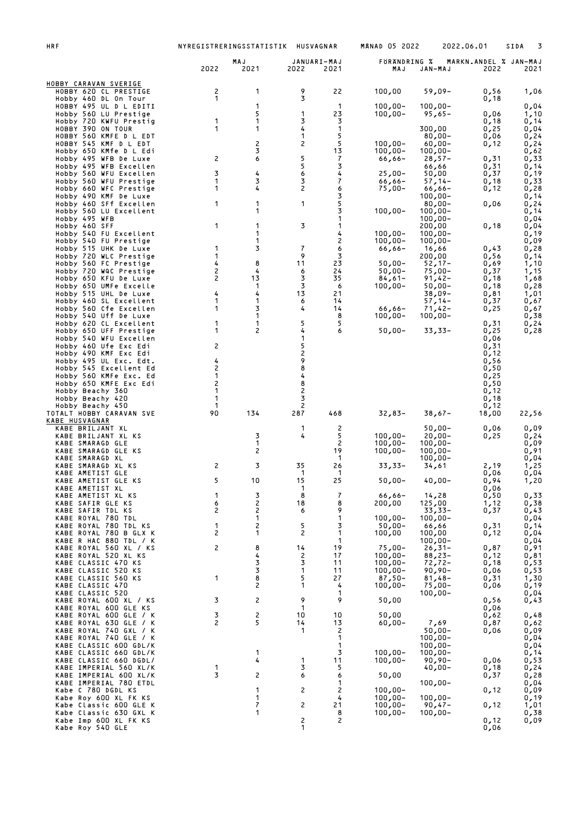| <b>HRF</b>                                       | NYREGISTRERINGSSTATISTIK HUSVAGNAR |                              |              |                     | <b>MANAD 05 2022</b>     |                          | 2022.06.01                    | SIDA<br>3    |
|--------------------------------------------------|------------------------------------|------------------------------|--------------|---------------------|--------------------------|--------------------------|-------------------------------|--------------|
|                                                  | 2022                               | MAJ<br>2021                  | 2022         | JANUARI-MAJ<br>2021 | FORANDRING %<br>MAJ      | <b>JAN-MAJ</b>           | MARKN.ANDEL % JAN-MAJ<br>2022 | 2021         |
| HOBBY CARAVAN SVERIGE                            |                                    |                              |              |                     |                          |                          |                               |              |
| HOBBY 620 CL PRESTIGE                            | 2<br>1                             | 1                            | 9<br>3       | 22                  | 100,00                   | 59,09-                   | 0,56                          | 1,06         |
| Hobby 460 DL On Tour<br>HOBBY 495 UL D L EDITI   |                                    | $\mathbf{1}$                 |              | 1                   | $100,00 -$               | $100,00 -$               | 0,18                          | 0,04         |
| Hobby 560 LU Prestige<br>Hobby 720 KWFU Prestig  | 1                                  | 5<br>1                       | 1<br>3       | 23<br>3             | $100,00 -$               | $95,65 -$                | 0,06<br>0,18                  | 1,10<br>0,14 |
| HOBBY 390 ON TOUR                                | 1                                  | 1                            | 4            | 1                   |                          | 300,00                   | 0,25                          | 0,04         |
| HOBBY 560 KMFE D L EDT<br>HOBBY 545 KMF D L EDT  |                                    | 2                            | 1<br>2       | 5<br>5              | $100,00 -$               | $80,00 -$<br>$60,00 -$   | 0,06<br>0,12                  | 0,24<br>0,24 |
| Hobby 650 KMfe D L Edi                           |                                    | 3                            |              | 13                  | $100,00 -$               | $100,00 -$               |                               | 0,62         |
| Hobby 495 WFB De Luxe<br>Hobby 495 WFB Excellen  | 2                                  | 6                            | 5<br>5       | 7<br>3              | $66,66 -$                | $28,57-$<br>66,66        | 0,31<br>0,31                  | 0,33<br>0,14 |
| Hobby 560 WFU Excellen<br>Hobby 560 WFU Prestige | 3<br>1                             | 4<br>3                       | 6<br>3       | 4<br>7              | $25,00-$                 | 50,00<br>$57,14-$        | 0,37<br>0,18                  | 0,19<br>0,33 |
| Hobby 660 WFC Prestige                           | 1                                  | 4                            | 2            | 6                   | 66,66-<br>$75,00-$       | 66,66-                   | 0,12                          | 0,28         |
| Hobby 490 KMF De Luxe<br>Hobby 460 SFf Excellen  | 1                                  | 1                            | 1            | 3<br>5              |                          | $100,00 -$<br>$80,00 -$  | 0,06                          | 0,14<br>0,24 |
| Hobby 560 LU Excellent                           |                                    | 1                            |              | 3                   | $100,00 -$               | $100,00 -$               |                               | 0,14         |
| Hobby 495 WFB<br>Hobby 460 SFF                   | 1                                  | 1                            | 3            | 1<br>1              |                          | $100,00 -$<br>200,00     | 0,18                          | 0,04<br>0,04 |
| Hobby 540 FU Excellent<br>Hobby 540 FU Prestige  |                                    | 1<br>1                       |              | 4<br>2              | $100,00 -$<br>$100,00 -$ | $100,00 -$<br>$100,00 -$ |                               | 0,19<br>0,09 |
| Hobby 515 UHK De Luxe                            | 1                                  | 3                            | 7            | 6                   | 66,66-                   | 16,66                    | 0,43                          | 0,28         |
| Hobby 720 WLC Prestige<br>Hobby 560 FC Prestige  | 1<br>4                             | 8                            | 9<br>11      | 3<br>23             | $50,00 -$                | 200,00<br>$52,17-$       | 0,56<br>0,69                  | 0,14<br>1,10 |
| Hobby 720 WQC Prestige                           | 2                                  | 4                            | 6            | 24                  | $50,00 -$                | $75,00 -$                | 0,37                          | 1,15         |
| Hobby 650 KFU De Luxe<br>Hobby 650 UMFe Excelle  | 2                                  | 13<br>$\mathbf{1}$           | 3<br>3       | 35<br>6             | $84,61-$<br>$100,00 -$   | $91,42-$<br>$50,00 -$    | 0,18<br>0,18                  | 1,68<br>0,28 |
| Hobby 515 UHL De Luxe<br>Hobby 460 SL Excellent  | 4<br>1                             | 4<br>$\mathbf{1}$            | 13<br>6      | 21<br>14            |                          | 38,09-                   | 0,81<br>0,37                  | 1,01         |
| Hobby 560 Cfe Excellen                           | 1                                  | 3                            | 4            | 14                  | $66,66-$                 | $57,14-$<br>$71,42-$     | 0,25                          | 0,67<br>0,67 |
| Hobby 540 Uff De Luxe<br>Hobby 620 CL Excellent  | 1                                  | $\mathbf{1}$<br>$\mathbf{1}$ | 5            | 8<br>5              | $100,00 -$               | $100,00 -$               | 0,31                          | 0,38<br>0,24 |
| Hobby 650 UFF Prestige                           | 1                                  | $\overline{c}$               | 4            | 6                   | $50,00 -$                | 33,33-                   | 0,25                          | 0,28         |
| Hobby 540 WFU Excellen<br>Hobby 460 Ufe Exc Edi  | 2                                  |                              | 1<br>5       |                     |                          |                          | 0,06<br>0,31                  |              |
| Hobby 490 KMF Exc Edi                            |                                    |                              | 2<br>9       |                     |                          |                          | 0,12                          |              |
| Hobby 495 UL Exc. Edt.<br>Hobby 545 Excellent Ed | 4<br>2                             |                              | 8            |                     |                          |                          | 0,56<br>0,50                  |              |
| Hobby 560 KMFe Exc. Ed<br>Hobby 650 KMFE Exc Edi | 1<br>2                             |                              | 4<br>8       |                     |                          |                          | 0,25<br>0,50                  |              |
| Hobby Beachy 360                                 | 1                                  |                              | 2            |                     |                          |                          | 0,12                          |              |
| Hobby Beachy 420<br>Hobby Beachy 450             | 1<br>-1                            |                              | 3<br>2       |                     |                          |                          | 0,18<br>0,12                  |              |
| TOTALT HOBBY CARAVAN SVE<br>KABE HUSVAGNAR       | 90                                 | 134                          | 287          | 468                 | $32,83-$                 | $38,67-$                 | 18,00                         | 22,56        |
| KABE BRILJANT XL                                 |                                    |                              | 1            | 2                   |                          | $50,00 -$                | 0,06                          | 0,09         |
| KABE BRILJANT XL KS<br>KABE SMARAGD GLE          |                                    | 3<br>1                       | 4            | 5<br>$\overline{c}$ | $100,00 -$<br>$100,00 -$ | $20,00-$<br>$100,00 -$   | 0,25                          | 0,24<br>0,09 |
| KABE SMARAGD GLE KS<br>KABE SMARAGD XL           |                                    | 2                            |              | 19<br>$\mathbf 1$   | $100,00 -$               | $100,00 -$               |                               | 0,91         |
| KABE SMARAGD XL KS                               | 2                                  | 3                            | 35           | 26                  | $33,33-$                 | $100,00 -$<br>34,61      | 2,19                          | 0,04<br>1,25 |
| KABE AMETIST GLE<br>KABE AMETIST GLE KS          | 5                                  | 10                           | 1<br>15      | -1<br>25            | $50,00-$                 | $40,00 -$                | 0,06<br>0,94                  | 0,04<br>1.20 |
| KABE AMETIST XL                                  |                                    |                              | 1            |                     |                          |                          | 0,06                          |              |
| KABE AMETIST XL KS<br>KABE SAFIR GLE KS          | 1<br>6                             | 3<br>2                       | 8<br>18      | 7<br>8              | $66,66 -$<br>200,00      | 14,28<br>125,00          | 0,50<br>1,12                  | 0,33<br>0,38 |
| KABE SAFIR TDL KS<br>KABE ROYAL 780 TDL          | 2                                  | 2<br>1                       | 6            | 9<br>1              | $100,00 -$               | $33,33-$<br>$100,00 -$   | 0,37                          | 0,43<br>0,04 |
| KABE ROYAL 780 TDL KS                            | 1                                  | 2                            | 5            | 3                   | $50,00 -$                | 66,66                    | 0,31                          | 0,14         |
| KABE ROYAL 780 B GLX K<br>KABE R HAC 880 TDL / K | 2                                  | 1                            | 2            | 1<br>$\mathbf 1$    | 100,00                   | 100,00<br>$100,00 -$     | 0,12                          | 0,04<br>0,04 |
| KABE ROYAL 560 XL / KS                           | 2                                  | 8                            | 14           | 19                  | $75,00-$                 | $26,31-$                 | 0,87                          | 0,91         |
| KABE ROYAL 520 XL KS<br>KABE CLASSIC 470 KS      |                                    | 4<br>3                       | 2<br>3       | 17<br>11            | $100,00 -$<br>$100,00 -$ | $88,23-$<br>72,72-       | 0,12<br>0,18                  | 0,81<br>0,53 |
| KABE CLASSIC 520 KS<br>KABE CLASSIC 560 KS       | 1                                  | 3<br>8                       | 1<br>5       | 11<br>27            | $100,00 -$<br>$87,50 -$  | $90,90 -$<br>$81,48-$    | 0,06<br>0,31                  | 0,53         |
| KABE CLASSIC 470                                 |                                    | 2                            | 1            | 4                   | $100,00 -$               | $75,00 -$                | 0,06                          | 1,30<br>0,19 |
| KABE CLASSIC 520<br>KABE ROYAL 600 XL / KS       | 3                                  | 2                            | 9            | $\mathbf 1$<br>9    | 50,00                    | $100,00 -$               | 0,56                          | 0,04<br>0,43 |
| KABE ROYAL 600 GLE KS                            |                                    |                              | 1            |                     |                          |                          | 0,06                          |              |
| KABE ROYAL 600 GLE / K<br>KABE ROYAL 630 GLE / K | 3<br>2                             | 2<br>5                       | 10<br>14     | 10<br>13            | 50,00<br>$60,00 -$       | 7,69                     | 0,62<br>0,87                  | 0,48<br>0,62 |
| KABE ROYAL 740 GXL / K<br>KABE ROYAL 740 GLE / K |                                    |                              | $\mathbf{1}$ | $\overline{c}$<br>1 |                          | $50,00 -$<br>$100,00 -$  | 0,06                          | 0,09<br>0,04 |
| KABE CLASSIC 600 GDL/K                           |                                    |                              |              | 1                   |                          | $100,00 -$               |                               | 0,04         |
| KABE CLASSIC 660 GDL/K<br>KABE CLASSIC 660 DGDL/ |                                    | 1<br>4                       | 1            | 3<br>11             | $100,00 -$<br>$100,00 -$ | $100,00 -$<br>90,90-     | 0,06                          | 0,14<br>0,53 |
| KABE IMPERIAL 560 XL/K                           | 1<br>3                             |                              | 3            | 5                   |                          | $40,00 -$                | 0,18                          | 0,24         |
| KABE IMPERIAL 600 XL/K<br>KABE IMPERIAL 780 ETDL |                                    | 2                            | 6            | 6<br>1              | 50,00                    | $100,00 -$               | 0,37                          | 0,28<br>0,04 |
| Kabe C 780 DGDL KS<br>Kabe Roy 600 XL FK KS      |                                    | 1<br>1                       | 2            | 2<br>4              | $100,00 -$<br>$100,00 -$ | $100,00 -$               | 0,12                          | 0,09<br>0,19 |
| Kabe Classic 600 GLE K                           |                                    | 7                            | 2            | 21                  | $100,00 -$               | 90,47-                   | 0,12                          | 1,01         |
| Kabe Classic 630 GXL K<br>Kabe Imp 600 XL FK KS  |                                    | 1                            | 2            | 8<br>2              | $100,00 -$               | $100,00 -$               | 0,12                          | 0,38<br>0,09 |
| Kabe Roy 540 GLE                                 |                                    |                              | 1            |                     |                          |                          | 0,06                          |              |